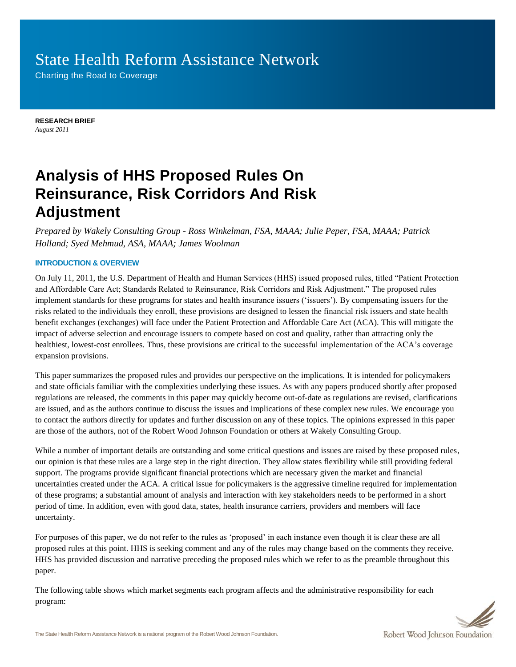# State Health Reform Assistance Network

Charting the Road to Coverage

**RESEARCH BRIEF** *August 2011*

# **Analysis of HHS Proposed Rules On Reinsurance, Risk Corridors And Risk Adjustment**

*Prepared by Wakely Consulting Group - Ross Winkelman, FSA, MAAA; Julie Peper, FSA, MAAA; Patrick Holland; Syed Mehmud, ASA, MAAA; James Woolman*

# **INTRODUCTION & OVERVIEW**

On July 11, 2011, the U.S. Department of Health and Human Services (HHS) issued proposed rules, titled "Patient Protection and Affordable Care Act; Standards Related to Reinsurance, Risk Corridors and Risk Adjustment." The proposed rules implement standards for these programs for states and health insurance issuers ("issuers"). By compensating issuers for the risks related to the individuals they enroll, these provisions are designed to lessen the financial risk issuers and state health benefit exchanges (exchanges) will face under the Patient Protection and Affordable Care Act (ACA). This will mitigate the impact of adverse selection and encourage issuers to compete based on cost and quality, rather than attracting only the healthiest, lowest-cost enrollees. Thus, these provisions are critical to the successful implementation of the ACA's coverage expansion provisions.

This paper summarizes the proposed rules and provides our perspective on the implications. It is intended for policymakers and state officials familiar with the complexities underlying these issues. As with any papers produced shortly after proposed regulations are released, the comments in this paper may quickly become out-of-date as regulations are revised, clarifications are issued, and as the authors continue to discuss the issues and implications of these complex new rules. We encourage you to contact the authors directly for updates and further discussion on any of these topics. The opinions expressed in this paper are those of the authors, not of the Robert Wood Johnson Foundation or others at Wakely Consulting Group.

While a number of important details are outstanding and some critical questions and issues are raised by these proposed rules, our opinion is that these rules are a large step in the right direction. They allow states flexibility while still providing federal support. The programs provide significant financial protections which are necessary given the market and financial uncertainties created under the ACA. A critical issue for policymakers is the aggressive timeline required for implementation of these programs; a substantial amount of analysis and interaction with key stakeholders needs to be performed in a short period of time. In addition, even with good data, states, health insurance carriers, providers and members will face uncertainty.

For purposes of this paper, we do not refer to the rules as "proposed" in each instance even though it is clear these are all proposed rules at this point. HHS is seeking comment and any of the rules may change based on the comments they receive. HHS has provided discussion and narrative preceding the proposed rules which we refer to as the preamble throughout this paper.

The following table shows which market segments each program affects and the administrative responsibility for each program:

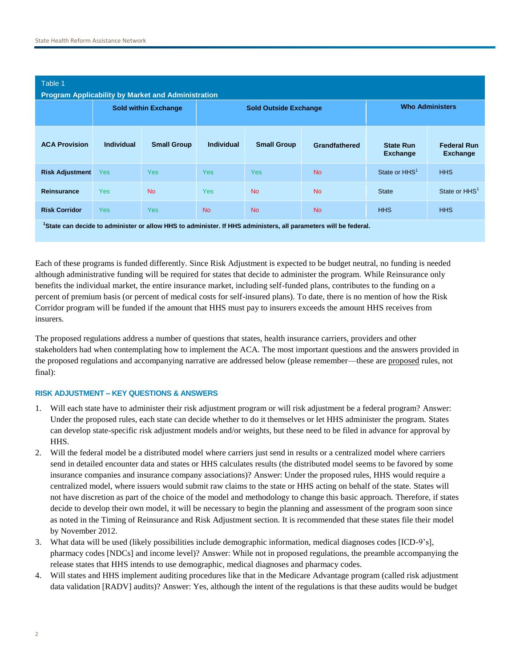| Table 1<br><b>Program Applicability by Market and Administration</b>                                                        |                             |                    |                              |                    |               |                              |                                       |
|-----------------------------------------------------------------------------------------------------------------------------|-----------------------------|--------------------|------------------------------|--------------------|---------------|------------------------------|---------------------------------------|
|                                                                                                                             | <b>Sold within Exchange</b> |                    | <b>Sold Outside Exchange</b> |                    |               | <b>Who Administers</b>       |                                       |
| <b>ACA Provision</b>                                                                                                        | Individual                  | <b>Small Group</b> | <b>Individual</b>            | <b>Small Group</b> | Grandfathered | <b>State Run</b><br>Exchange | <b>Federal Run</b><br><b>Exchange</b> |
| <b>Risk Adjustment</b>                                                                                                      | <b>Yes</b>                  | <b>Yes</b>         | <b>Yes</b>                   | <b>Yes</b>         | <b>No</b>     | State or HHS <sup>1</sup>    | <b>HHS</b>                            |
| <b>Reinsurance</b>                                                                                                          | <b>Yes</b>                  | <b>No</b>          | <b>Yes</b>                   | <b>No</b>          | <b>No</b>     | <b>State</b>                 | State or HHS <sup>1</sup>             |
| <b>Risk Corridor</b>                                                                                                        | <b>Yes</b>                  | <b>Yes</b>         | <b>No</b>                    | <b>No</b>          | <b>No</b>     | <b>HHS</b>                   | <b>HHS</b>                            |
| <sup>1</sup> State can decide to administer or allow HHS to administer. If HHS administers, all parameters will be federal. |                             |                    |                              |                    |               |                              |                                       |

Each of these programs is funded differently. Since Risk Adjustment is expected to be budget neutral, no funding is needed although administrative funding will be required for states that decide to administer the program. While Reinsurance only benefits the individual market, the entire insurance market, including self-funded plans, contributes to the funding on a percent of premium basis (or percent of medical costs for self-insured plans). To date, there is no mention of how the Risk Corridor program will be funded if the amount that HHS must pay to insurers exceeds the amount HHS receives from insurers.

The proposed regulations address a number of questions that states, health insurance carriers, providers and other stakeholders had when contemplating how to implement the ACA. The most important questions and the answers provided in the proposed regulations and accompanying narrative are addressed below (please remember—these are proposed rules, not final):

# **RISK ADJUSTMENT – KEY QUESTIONS & ANSWERS**

- 1. Will each state have to administer their risk adjustment program or will risk adjustment be a federal program? Answer: Under the proposed rules, each state can decide whether to do it themselves or let HHS administer the program. States can develop state-specific risk adjustment models and/or weights, but these need to be filed in advance for approval by HHS.
- 2. Will the federal model be a distributed model where carriers just send in results or a centralized model where carriers send in detailed encounter data and states or HHS calculates results (the distributed model seems to be favored by some insurance companies and insurance company associations)? Answer: Under the proposed rules, HHS would require a centralized model, where issuers would submit raw claims to the state or HHS acting on behalf of the state. States will not have discretion as part of the choice of the model and methodology to change this basic approach. Therefore, if states decide to develop their own model, it will be necessary to begin the planning and assessment of the program soon since as noted in the Timing of Reinsurance and Risk Adjustment section. It is recommended that these states file their model by November 2012.
- 3. What data will be used (likely possibilities include demographic information, medical diagnoses codes [ICD-9"s], pharmacy codes [NDCs] and income level)? Answer: While not in proposed regulations, the preamble accompanying the release states that HHS intends to use demographic, medical diagnoses and pharmacy codes.
- 4. Will states and HHS implement auditing procedures like that in the Medicare Advantage program (called risk adjustment data validation [RADV] audits)? Answer: Yes, although the intent of the regulations is that these audits would be budget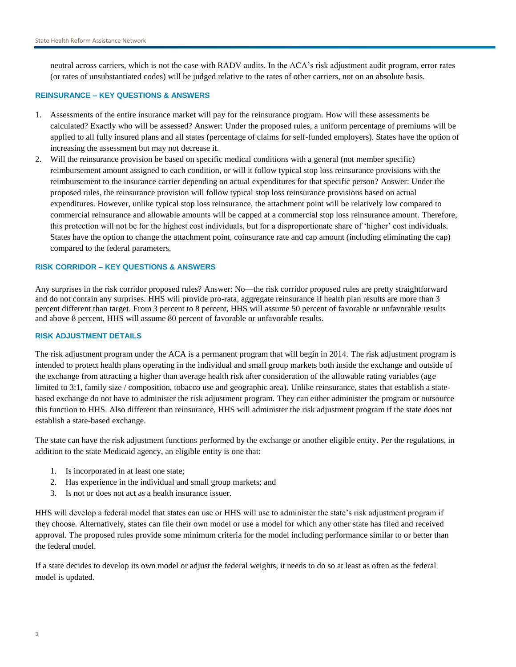neutral across carriers, which is not the case with RADV audits. In the ACA"s risk adjustment audit program, error rates (or rates of unsubstantiated codes) will be judged relative to the rates of other carriers, not on an absolute basis.

## **REINSURANCE – KEY QUESTIONS & ANSWERS**

- 1. Assessments of the entire insurance market will pay for the reinsurance program. How will these assessments be calculated? Exactly who will be assessed? Answer: Under the proposed rules, a uniform percentage of premiums will be applied to all fully insured plans and all states (percentage of claims for self-funded employers). States have the option of increasing the assessment but may not decrease it.
- 2. Will the reinsurance provision be based on specific medical conditions with a general (not member specific) reimbursement amount assigned to each condition, or will it follow typical stop loss reinsurance provisions with the reimbursement to the insurance carrier depending on actual expenditures for that specific person? Answer: Under the proposed rules, the reinsurance provision will follow typical stop loss reinsurance provisions based on actual expenditures. However, unlike typical stop loss reinsurance, the attachment point will be relatively low compared to commercial reinsurance and allowable amounts will be capped at a commercial stop loss reinsurance amount. Therefore, this protection will not be for the highest cost individuals, but for a disproportionate share of "higher" cost individuals. States have the option to change the attachment point, coinsurance rate and cap amount (including eliminating the cap) compared to the federal parameters.

### **RISK CORRIDOR – KEY QUESTIONS & ANSWERS**

Any surprises in the risk corridor proposed rules? Answer: No—the risk corridor proposed rules are pretty straightforward and do not contain any surprises. HHS will provide pro-rata, aggregate reinsurance if health plan results are more than 3 percent different than target. From 3 percent to 8 percent, HHS will assume 50 percent of favorable or unfavorable results and above 8 percent, HHS will assume 80 percent of favorable or unfavorable results.

## **RISK ADJUSTMENT DETAILS**

The risk adjustment program under the ACA is a permanent program that will begin in 2014. The risk adjustment program is intended to protect health plans operating in the individual and small group markets both inside the exchange and outside of the exchange from attracting a higher than average health risk after consideration of the allowable rating variables (age limited to 3:1, family size / composition, tobacco use and geographic area). Unlike reinsurance, states that establish a statebased exchange do not have to administer the risk adjustment program. They can either administer the program or outsource this function to HHS. Also different than reinsurance, HHS will administer the risk adjustment program if the state does not establish a state-based exchange.

The state can have the risk adjustment functions performed by the exchange or another eligible entity. Per the regulations, in addition to the state Medicaid agency, an eligible entity is one that:

- 1. Is incorporated in at least one state;
- 2. Has experience in the individual and small group markets; and
- 3. Is not or does not act as a health insurance issuer.

HHS will develop a federal model that states can use or HHS will use to administer the state's risk adjustment program if they choose. Alternatively, states can file their own model or use a model for which any other state has filed and received approval. The proposed rules provide some minimum criteria for the model including performance similar to or better than the federal model.

If a state decides to develop its own model or adjust the federal weights, it needs to do so at least as often as the federal model is updated.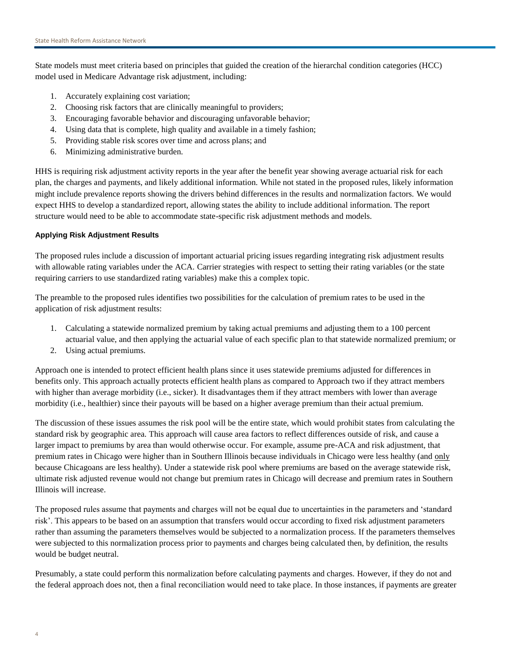State models must meet criteria based on principles that guided the creation of the hierarchal condition categories (HCC) model used in Medicare Advantage risk adjustment, including:

- 1. Accurately explaining cost variation;
- 2. Choosing risk factors that are clinically meaningful to providers;
- 3. Encouraging favorable behavior and discouraging unfavorable behavior;
- 4. Using data that is complete, high quality and available in a timely fashion;
- 5. Providing stable risk scores over time and across plans; and
- 6. Minimizing administrative burden.

HHS is requiring risk adjustment activity reports in the year after the benefit year showing average actuarial risk for each plan, the charges and payments, and likely additional information. While not stated in the proposed rules, likely information might include prevalence reports showing the drivers behind differences in the results and normalization factors. We would expect HHS to develop a standardized report, allowing states the ability to include additional information. The report structure would need to be able to accommodate state-specific risk adjustment methods and models.

# **Applying Risk Adjustment Results**

The proposed rules include a discussion of important actuarial pricing issues regarding integrating risk adjustment results with allowable rating variables under the ACA. Carrier strategies with respect to setting their rating variables (or the state requiring carriers to use standardized rating variables) make this a complex topic.

The preamble to the proposed rules identifies two possibilities for the calculation of premium rates to be used in the application of risk adjustment results:

- 1. Calculating a statewide normalized premium by taking actual premiums and adjusting them to a 100 percent actuarial value, and then applying the actuarial value of each specific plan to that statewide normalized premium; or
- 2. Using actual premiums.

Approach one is intended to protect efficient health plans since it uses statewide premiums adjusted for differences in benefits only. This approach actually protects efficient health plans as compared to Approach two if they attract members with higher than average morbidity (i.e., sicker). It disadvantages them if they attract members with lower than average morbidity (i.e., healthier) since their payouts will be based on a higher average premium than their actual premium.

The discussion of these issues assumes the risk pool will be the entire state, which would prohibit states from calculating the standard risk by geographic area. This approach will cause area factors to reflect differences outside of risk, and cause a larger impact to premiums by area than would otherwise occur. For example, assume pre-ACA and risk adjustment, that premium rates in Chicago were higher than in Southern Illinois because individuals in Chicago were less healthy (and only because Chicagoans are less healthy). Under a statewide risk pool where premiums are based on the average statewide risk, ultimate risk adjusted revenue would not change but premium rates in Chicago will decrease and premium rates in Southern Illinois will increase.

The proposed rules assume that payments and charges will not be equal due to uncertainties in the parameters and "standard risk". This appears to be based on an assumption that transfers would occur according to fixed risk adjustment parameters rather than assuming the parameters themselves would be subjected to a normalization process. If the parameters themselves were subjected to this normalization process prior to payments and charges being calculated then, by definition, the results would be budget neutral.

Presumably, a state could perform this normalization before calculating payments and charges. However, if they do not and the federal approach does not, then a final reconciliation would need to take place. In those instances, if payments are greater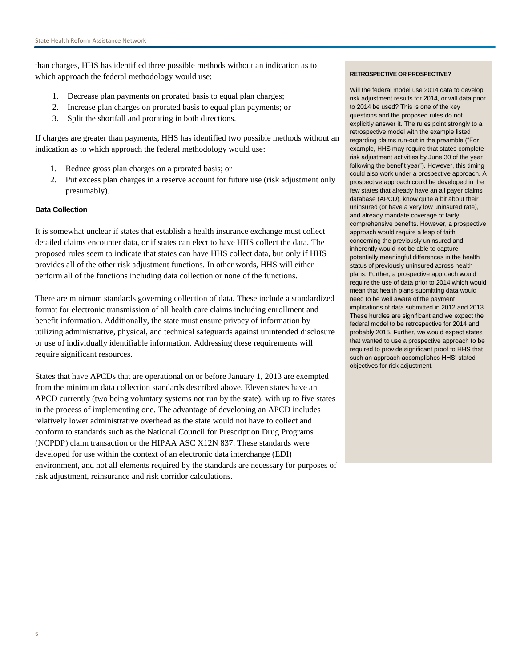than charges, HHS has identified three possible methods without an indication as to which approach the federal methodology would use:

- 1. Decrease plan payments on prorated basis to equal plan charges;
- 2. Increase plan charges on prorated basis to equal plan payments; or
- 3. Split the shortfall and prorating in both directions.

If charges are greater than payments, HHS has identified two possible methods without an indication as to which approach the federal methodology would use:

- 1. Reduce gross plan charges on a prorated basis; or
- 2. Put excess plan charges in a reserve account for future use (risk adjustment only presumably).

# **Data Collection**

It is somewhat unclear if states that establish a health insurance exchange must collect detailed claims encounter data, or if states can elect to have HHS collect the data. The proposed rules seem to indicate that states can have HHS collect data, but only if HHS provides all of the other risk adjustment functions. In other words, HHS will either perform all of the functions including data collection or none of the functions.

There are minimum standards governing collection of data. These include a standardized format for electronic transmission of all health care claims including enrollment and benefit information. Additionally, the state must ensure privacy of information by utilizing administrative, physical, and technical safeguards against unintended disclosure or use of individually identifiable information. Addressing these requirements will require significant resources.

States that have APCDs that are operational on or before January 1, 2013 are exempted from the minimum data collection standards described above. Eleven states have an APCD currently (two being voluntary systems not run by the state), with up to five states in the process of implementing one. The advantage of developing an APCD includes relatively lower administrative overhead as the state would not have to collect and conform to standards such as the National Council for Prescription Drug Programs (NCPDP) claim transaction or the HIPAA ASC X12N 837. These standards were developed for use within the context of an electronic data interchange (EDI) environment, and not all elements required by the standards are necessary for purposes of risk adjustment, reinsurance and risk corridor calculations.

#### **RETROSPECTIVE OR PROSPECTIVE?**

Will the federal model use 2014 data to develop risk adjustment results for 2014, or will data prior to 2014 be used? This is one of the key questions and the proposed rules do not explicitly answer it. The rules point strongly to a retrospective model with the example listed regarding claims run-out in the preamble ("For example, HHS may require that states complete risk adjustment activities by June 30 of the year following the benefit year"). However, this timing could also work under a prospective approach. A prospective approach could be developed in the few states that already have an all payer claims database (APCD), know quite a bit about their uninsured (or have a very low uninsured rate), and already mandate coverage of fairly comprehensive benefits. However, a prospective approach would require a leap of faith concerning the previously uninsured and inherently would not be able to capture potentially meaningful differences in the health status of previously uninsured across health plans. Further, a prospective approach would require the use of data prior to 2014 which would mean that health plans submitting data would need to be well aware of the payment implications of data submitted in 2012 and 2013. These hurdles are significant and we expect the federal model to be retrospective for 2014 and probably 2015. Further, we would expect states that wanted to use a prospective approach to be required to provide significant proof to HHS that such an approach accomplishes HHS' stated objectives for risk adjustment.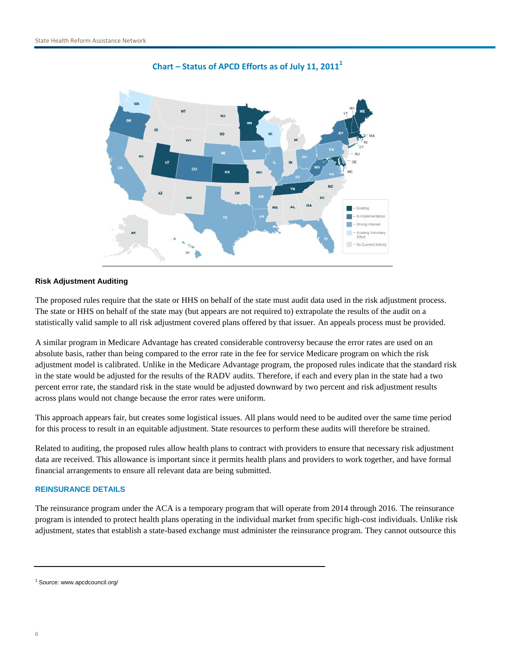

**Chart – Status of APCD Efforts as of July 11, 2011<sup>1</sup>**

# **Risk Adjustment Auditing**

The proposed rules require that the state or HHS on behalf of the state must audit data used in the risk adjustment process. The state or HHS on behalf of the state may (but appears are not required to) extrapolate the results of the audit on a statistically valid sample to all risk adjustment covered plans offered by that issuer. An appeals process must be provided.

A similar program in Medicare Advantage has created considerable controversy because the error rates are used on an absolute basis, rather than being compared to the error rate in the fee for service Medicare program on which the risk adjustment model is calibrated. Unlike in the Medicare Advantage program, the proposed rules indicate that the standard risk in the state would be adjusted for the results of the RADV audits. Therefore, if each and every plan in the state had a two percent error rate, the standard risk in the state would be adjusted downward by two percent and risk adjustment results across plans would not change because the error rates were uniform.

This approach appears fair, but creates some logistical issues. All plans would need to be audited over the same time period for this process to result in an equitable adjustment. State resources to perform these audits will therefore be strained.

Related to auditing, the proposed rules allow health plans to contract with providers to ensure that necessary risk adjustment data are received. This allowance is important since it permits health plans and providers to work together, and have formal financial arrangements to ensure all relevant data are being submitted.

# **REINSURANCE DETAILS**

The reinsurance program under the ACA is a temporary program that will operate from 2014 through 2016. The reinsurance program is intended to protect health plans operating in the individual market from specific high-cost individuals. Unlike risk adjustment, states that establish a state-based exchange must administer the reinsurance program. They cannot outsource this

<sup>1</sup> Source: www.apcdcouncil.org/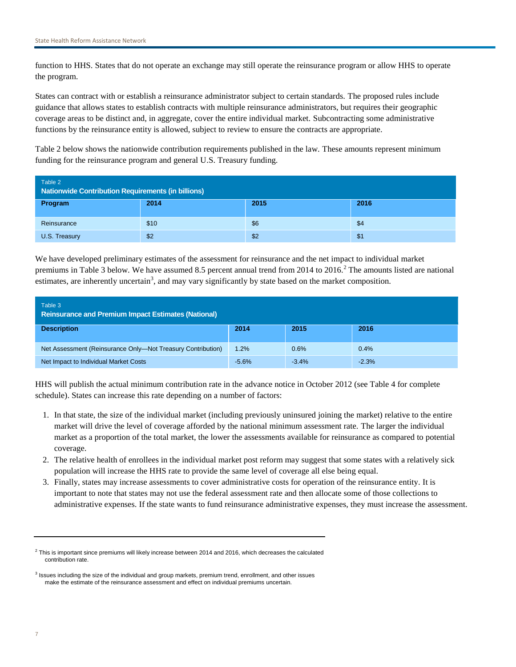function to HHS. States that do not operate an exchange may still operate the reinsurance program or allow HHS to operate the program.

States can contract with or establish a reinsurance administrator subject to certain standards. The proposed rules include guidance that allows states to establish contracts with multiple reinsurance administrators, but requires their geographic coverage areas to be distinct and, in aggregate, cover the entire individual market. Subcontracting some administrative functions by the reinsurance entity is allowed, subject to review to ensure the contracts are appropriate.

Table 2 below shows the nationwide contribution requirements published in the law. These amounts represent minimum funding for the reinsurance program and general U.S. Treasury funding.

| Table 2<br>Nationwide Contribution Requirements (in billions) |      |      |      |
|---------------------------------------------------------------|------|------|------|
| Program                                                       | 2014 | 2015 | 2016 |
| Reinsurance                                                   | \$10 | \$6  | \$4  |
| U.S. Treasury                                                 | \$2  | \$2  | \$1  |

We have developed preliminary estimates of the assessment for reinsurance and the net impact to individual market premiums in Table 3 below. We have assumed 8.5 percent annual trend from  $2014$  to  $2016<sup>2</sup>$ . The amounts listed are national estimates, are inherently uncertain<sup>3</sup>, and may vary significantly by state based on the market composition.

| Table 3<br><b>Reinsurance and Premium Impact Estimates (National)</b> |         |         |         |
|-----------------------------------------------------------------------|---------|---------|---------|
| <b>Description</b>                                                    | 2014    | 2015    | 2016    |
| Net Assessment (Reinsurance Only-Not Treasury Contribution)           | 1.2%    | 0.6%    | 0.4%    |
| Net Impact to Individual Market Costs                                 | $-5.6%$ | $-3.4%$ | $-2.3%$ |

HHS will publish the actual minimum contribution rate in the advance notice in October 2012 (see Table 4 for complete schedule). States can increase this rate depending on a number of factors:

- 1. In that state, the size of the individual market (including previously uninsured joining the market) relative to the entire market will drive the level of coverage afforded by the national minimum assessment rate. The larger the individual market as a proportion of the total market, the lower the assessments available for reinsurance as compared to potential coverage.
- 2. The relative health of enrollees in the individual market post reform may suggest that some states with a relatively sick population will increase the HHS rate to provide the same level of coverage all else being equal.
- 3. Finally, states may increase assessments to cover administrative costs for operation of the reinsurance entity. It is important to note that states may not use the federal assessment rate and then allocate some of those collections to administrative expenses. If the state wants to fund reinsurance administrative expenses, they must increase the assessment.

 $^2$  This is important since premiums will likely increase between 2014 and 2016, which decreases the calculated contribution rate.

<sup>&</sup>lt;sup>3</sup> Issues including the size of the individual and group markets, premium trend, enrollment, and other issues make the estimate of the reinsurance assessment and effect on individual premiums uncertain.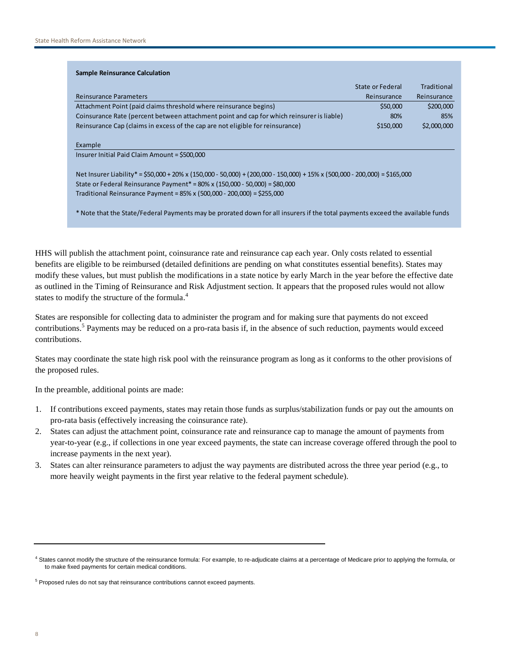| <b>Sample Reinsurance Calculation</b>                                                                                         |                  |             |
|-------------------------------------------------------------------------------------------------------------------------------|------------------|-------------|
|                                                                                                                               | State or Federal | Traditional |
| <b>Reinsurance Parameters</b>                                                                                                 | Reinsurance      | Reinsurance |
| Attachment Point (paid claims threshold where reinsurance begins)                                                             | \$50,000         | \$200,000   |
| Coinsurance Rate (percent between attachment point and cap for which reinsurer is liable)                                     | 80%              | 85%         |
| Reinsurance Cap (claims in excess of the cap are not eligible for reinsurance)                                                | \$150,000        | \$2,000,000 |
| Example                                                                                                                       |                  |             |
| Insurer Initial Paid Claim Amount = \$500,000                                                                                 |                  |             |
| Net Insurer Liability* = \$50,000 + 20% x (150,000 - 50,000) + (200,000 - 150,000) + 15% x (500,000 - 200,000) = \$165,000    |                  |             |
| State or Federal Reinsurance Payment* = $80\%$ x (150,000 - 50,000) = \$80,000                                                |                  |             |
| Traditional Reinsurance Payment = $85\%$ x (500,000 - 200,000) = \$255,000                                                    |                  |             |
| * Note that the State/Federal Payments may be prorated down for all insurers if the total payments exceed the available funds |                  |             |

HHS will publish the attachment point, coinsurance rate and reinsurance cap each year. Only costs related to essential benefits are eligible to be reimbursed (detailed definitions are pending on what constitutes essential benefits). States may modify these values, but must publish the modifications in a state notice by early March in the year before the effective date as outlined in the Timing of Reinsurance and Risk Adjustment section. It appears that the proposed rules would not allow states to modify the structure of the formula.<sup>4</sup>

States are responsible for collecting data to administer the program and for making sure that payments do not exceed contributions.<sup>5</sup> Payments may be reduced on a pro-rata basis if, in the absence of such reduction, payments would exceed contributions.

States may coordinate the state high risk pool with the reinsurance program as long as it conforms to the other provisions of the proposed rules.

In the preamble, additional points are made:

- 1. If contributions exceed payments, states may retain those funds as surplus/stabilization funds or pay out the amounts on pro-rata basis (effectively increasing the coinsurance rate).
- 2. States can adjust the attachment point, coinsurance rate and reinsurance cap to manage the amount of payments from year-to-year (e.g., if collections in one year exceed payments, the state can increase coverage offered through the pool to increase payments in the next year).
- 3. States can alter reinsurance parameters to adjust the way payments are distributed across the three year period (e.g., to more heavily weight payments in the first year relative to the federal payment schedule).

<sup>4</sup> States cannot modify the structure of the reinsurance formula: For example, to re-adjudicate claims at a percentage of Medicare prior to applying the formula, or to make fixed payments for certain medical conditions.

<sup>&</sup>lt;sup>5</sup> Proposed rules do not say that reinsurance contributions cannot exceed payments.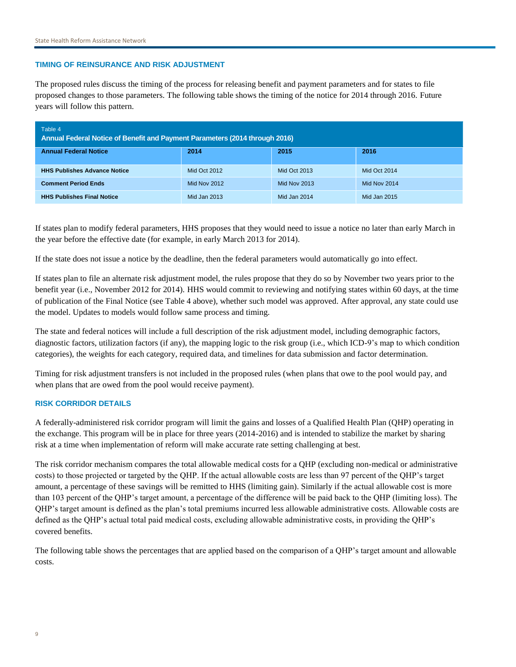# **TIMING OF REINSURANCE AND RISK ADJUSTMENT**

The proposed rules discuss the timing of the process for releasing benefit and payment parameters and for states to file proposed changes to those parameters. The following table shows the timing of the notice for 2014 through 2016. Future years will follow this pattern.

| Table 4<br>Annual Federal Notice of Benefit and Payment Parameters (2014 through 2016) |                     |                     |              |
|----------------------------------------------------------------------------------------|---------------------|---------------------|--------------|
| <b>Annual Federal Notice</b>                                                           | 2014                | 2015                | 2016         |
| <b>HHS Publishes Advance Notice</b>                                                    | Mid Oct 2012        | Mid Oct 2013        | Mid Oct 2014 |
| <b>Comment Period Ends</b>                                                             | <b>Mid Nov 2012</b> | <b>Mid Nov 2013</b> | Mid Nov 2014 |
| <b>HHS Publishes Final Notice</b>                                                      | Mid Jan 2013        | Mid Jan 2014        | Mid Jan 2015 |

If states plan to modify federal parameters, HHS proposes that they would need to issue a notice no later than early March in the year before the effective date (for example, in early March 2013 for 2014).

If the state does not issue a notice by the deadline, then the federal parameters would automatically go into effect.

If states plan to file an alternate risk adjustment model, the rules propose that they do so by November two years prior to the benefit year (i.e., November 2012 for 2014). HHS would commit to reviewing and notifying states within 60 days, at the time of publication of the Final Notice (see Table 4 above), whether such model was approved. After approval, any state could use the model. Updates to models would follow same process and timing.

The state and federal notices will include a full description of the risk adjustment model, including demographic factors, diagnostic factors, utilization factors (if any), the mapping logic to the risk group (i.e., which ICD-9"s map to which condition categories), the weights for each category, required data, and timelines for data submission and factor determination.

Timing for risk adjustment transfers is not included in the proposed rules (when plans that owe to the pool would pay, and when plans that are owed from the pool would receive payment).

# **RISK CORRIDOR DETAILS**

A federally-administered risk corridor program will limit the gains and losses of a Qualified Health Plan (QHP) operating in the exchange. This program will be in place for three years (2014-2016) and is intended to stabilize the market by sharing risk at a time when implementation of reform will make accurate rate setting challenging at best.

The risk corridor mechanism compares the total allowable medical costs for a QHP (excluding non-medical or administrative costs) to those projected or targeted by the QHP. If the actual allowable costs are less than 97 percent of the QHP"s target amount, a percentage of these savings will be remitted to HHS (limiting gain). Similarly if the actual allowable cost is more than 103 percent of the QHP"s target amount, a percentage of the difference will be paid back to the QHP (limiting loss). The QHP"s target amount is defined as the plan"s total premiums incurred less allowable administrative costs. Allowable costs are defined as the QHP"s actual total paid medical costs, excluding allowable administrative costs, in providing the QHP"s covered benefits.

The following table shows the percentages that are applied based on the comparison of a QHP"s target amount and allowable costs.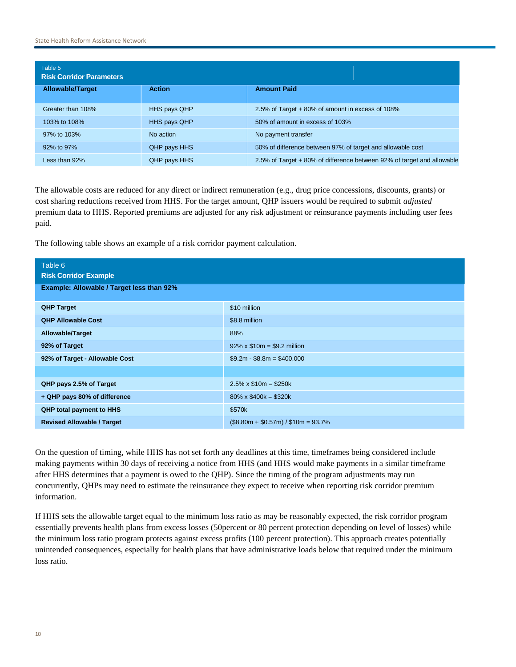| Table 5<br><b>Risk Corridor Parameters</b> |                     |                                                                        |  |
|--------------------------------------------|---------------------|------------------------------------------------------------------------|--|
| <b>Allowable/Target</b>                    | <b>Action</b>       | <b>Amount Paid</b>                                                     |  |
| Greater than 108%                          | HHS pays QHP        | 2.5% of Target + 80% of amount in excess of 108%                       |  |
| 103% to 108%                               | <b>HHS pays QHP</b> | 50% of amount in excess of 103%                                        |  |
| 97% to 103%                                | No action           | No payment transfer                                                    |  |
| 92% to 97%                                 | QHP pays HHS        | 50% of difference between 97% of target and allowable cost             |  |
| Less than 92%                              | QHP pays HHS        | 2.5% of Target + 80% of difference between 92% of target and allowable |  |

The allowable costs are reduced for any direct or indirect remuneration (e.g., drug price concessions, discounts, grants) or cost sharing reductions received from HHS. For the target amount, QHP issuers would be required to submit *adjusted* premium data to HHS. Reported premiums are adjusted for any risk adjustment or reinsurance payments including user fees paid.

The following table shows an example of a risk corridor payment calculation.

| Table 6<br><b>Risk Corridor Example</b>   |                                     |  |  |
|-------------------------------------------|-------------------------------------|--|--|
| Example: Allowable / Target less than 92% |                                     |  |  |
| <b>QHP Target</b>                         | \$10 million                        |  |  |
| <b>QHP Allowable Cost</b>                 | \$8.8 million                       |  |  |
| Allowable/Target                          | 88%                                 |  |  |
| 92% of Target                             | $92\% \times $10m = $9.2$ million   |  |  |
| 92% of Target - Allowable Cost            | $$9.2m - $8.8m = $400,000$          |  |  |
|                                           |                                     |  |  |
| QHP pays 2.5% of Target                   | $2.5\% \times \$10m = \$250k$       |  |  |
| + QHP pays 80% of difference              | $80\% \times \$400k = \$320k$       |  |  |
| <b>QHP total payment to HHS</b>           | \$570k                              |  |  |
| <b>Revised Allowable / Target</b>         | $($8.80m + $0.57m) / $10m = 93.7\%$ |  |  |

On the question of timing, while HHS has not set forth any deadlines at this time, timeframes being considered include making payments within 30 days of receiving a notice from HHS (and HHS would make payments in a similar timeframe after HHS determines that a payment is owed to the QHP). Since the timing of the program adjustments may run concurrently, QHPs may need to estimate the reinsurance they expect to receive when reporting risk corridor premium information.

If HHS sets the allowable target equal to the minimum loss ratio as may be reasonably expected, the risk corridor program essentially prevents health plans from excess losses (50percent or 80 percent protection depending on level of losses) while the minimum loss ratio program protects against excess profits (100 percent protection). This approach creates potentially unintended consequences, especially for health plans that have administrative loads below that required under the minimum loss ratio.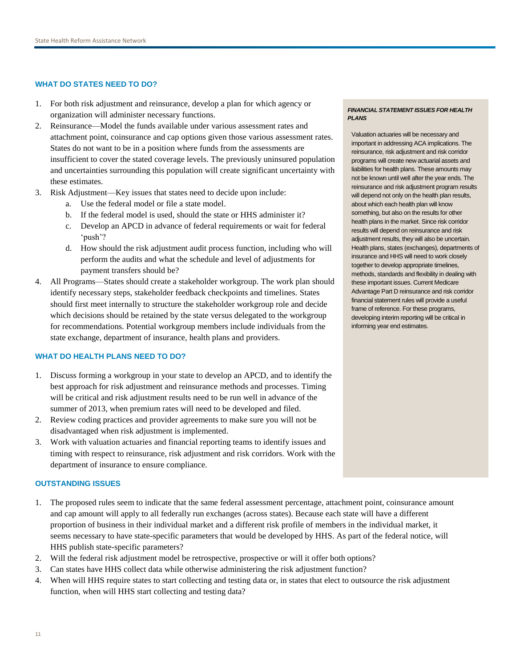# **WHAT DO STATES NEED TO DO?**

- 1. For both risk adjustment and reinsurance, develop a plan for which agency or organization will administer necessary functions.
- 2. Reinsurance—Model the funds available under various assessment rates and attachment point, coinsurance and cap options given those various assessment rates. States do not want to be in a position where funds from the assessments are insufficient to cover the stated coverage levels. The previously uninsured population and uncertainties surrounding this population will create significant uncertainty with these estimates.
- 3. Risk Adjustment—Key issues that states need to decide upon include:
	- a. Use the federal model or file a state model.
	- b. If the federal model is used, should the state or HHS administer it?
	- c. Develop an APCD in advance of federal requirements or wait for federal "push"?
	- d. How should the risk adjustment audit process function, including who will perform the audits and what the schedule and level of adjustments for payment transfers should be?
- 4. All Programs—States should create a stakeholder workgroup. The work plan should identify necessary steps, stakeholder feedback checkpoints and timelines. States should first meet internally to structure the stakeholder workgroup role and decide which decisions should be retained by the state versus delegated to the workgroup for recommendations. Potential workgroup members include individuals from the state exchange, department of insurance, health plans and providers.

# **WHAT DO HEALTH PLANS NEED TO DO?**

- 1. Discuss forming a workgroup in your state to develop an APCD, and to identify the best approach for risk adjustment and reinsurance methods and processes. Timing will be critical and risk adjustment results need to be run well in advance of the summer of 2013, when premium rates will need to be developed and filed.
- 2. Review coding practices and provider agreements to make sure you will not be disadvantaged when risk adjustment is implemented.
- 3. Work with valuation actuaries and financial reporting teams to identify issues and timing with respect to reinsurance, risk adjustment and risk corridors. Work with the department of insurance to ensure compliance.

# **OUTSTANDING ISSUES**

- 1. The proposed rules seem to indicate that the same federal assessment percentage, attachment point, coinsurance amount and cap amount will apply to all federally run exchanges (across states). Because each state will have a different proportion of business in their individual market and a different risk profile of members in the individual market, it seems necessary to have state-specific parameters that would be developed by HHS. As part of the federal notice, will HHS publish state-specific parameters?
- 2. Will the federal risk adjustment model be retrospective, prospective or will it offer both options?
- 3. Can states have HHS collect data while otherwise administering the risk adjustment function?
- 4. When will HHS require states to start collecting and testing data or, in states that elect to outsource the risk adjustment function, when will HHS start collecting and testing data?

#### *FINANCIAL STATEMENT ISSUES FOR HEALTH PLANS*

Valuation actuaries will be necessary and important in addressing ACA implications. The reinsurance, risk adjustment and risk corridor programs will create new actuarial assets and liabilities for health plans. These amounts may not be known until well after the year ends. The reinsurance and risk adjustment program results will depend not only on the health plan results, about which each health plan will know something, but also on the results for other health plans in the market. Since risk corridor results will depend on reinsurance and risk adjustment results, they will also be uncertain. Health plans, states (exchanges), departments of insurance and HHS will need to work closely together to develop appropriate timelines, methods, standards and flexibility in dealing with these important issues. Current Medicare Advantage Part D reinsurance and risk corridor financial statement rules will provide a useful frame of reference. For these programs, developing interim reporting will be critical in informing year end estimates.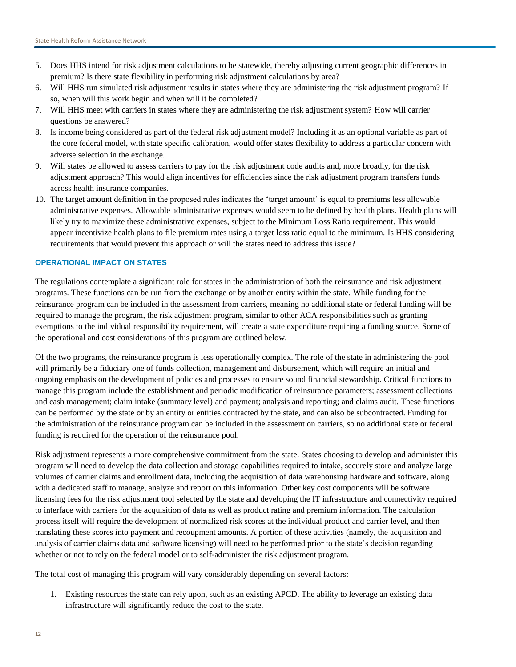- 5. Does HHS intend for risk adjustment calculations to be statewide, thereby adjusting current geographic differences in premium? Is there state flexibility in performing risk adjustment calculations by area?
- 6. Will HHS run simulated risk adjustment results in states where they are administering the risk adjustment program? If so, when will this work begin and when will it be completed?
- 7. Will HHS meet with carriers in states where they are administering the risk adjustment system? How will carrier questions be answered?
- 8. Is income being considered as part of the federal risk adjustment model? Including it as an optional variable as part of the core federal model, with state specific calibration, would offer states flexibility to address a particular concern with adverse selection in the exchange.
- 9. Will states be allowed to assess carriers to pay for the risk adjustment code audits and, more broadly, for the risk adjustment approach? This would align incentives for efficiencies since the risk adjustment program transfers funds across health insurance companies.
- 10. The target amount definition in the proposed rules indicates the "target amount" is equal to premiums less allowable administrative expenses. Allowable administrative expenses would seem to be defined by health plans. Health plans will likely try to maximize these administrative expenses, subject to the Minimum Loss Ratio requirement. This would appear incentivize health plans to file premium rates using a target loss ratio equal to the minimum. Is HHS considering requirements that would prevent this approach or will the states need to address this issue?

# **OPERATIONAL IMPACT ON STATES**

The regulations contemplate a significant role for states in the administration of both the reinsurance and risk adjustment programs. These functions can be run from the exchange or by another entity within the state. While funding for the reinsurance program can be included in the assessment from carriers, meaning no additional state or federal funding will be required to manage the program, the risk adjustment program, similar to other ACA responsibilities such as granting exemptions to the individual responsibility requirement, will create a state expenditure requiring a funding source. Some of the operational and cost considerations of this program are outlined below.

Of the two programs, the reinsurance program is less operationally complex. The role of the state in administering the pool will primarily be a fiduciary one of funds collection, management and disbursement, which will require an initial and ongoing emphasis on the development of policies and processes to ensure sound financial stewardship. Critical functions to manage this program include the establishment and periodic modification of reinsurance parameters; assessment collections and cash management; claim intake (summary level) and payment; analysis and reporting; and claims audit. These functions can be performed by the state or by an entity or entities contracted by the state, and can also be subcontracted. Funding for the administration of the reinsurance program can be included in the assessment on carriers, so no additional state or federal funding is required for the operation of the reinsurance pool.

Risk adjustment represents a more comprehensive commitment from the state. States choosing to develop and administer this program will need to develop the data collection and storage capabilities required to intake, securely store and analyze large volumes of carrier claims and enrollment data, including the acquisition of data warehousing hardware and software, along with a dedicated staff to manage, analyze and report on this information. Other key cost components will be software licensing fees for the risk adjustment tool selected by the state and developing the IT infrastructure and connectivity required to interface with carriers for the acquisition of data as well as product rating and premium information. The calculation process itself will require the development of normalized risk scores at the individual product and carrier level, and then translating these scores into payment and recoupment amounts. A portion of these activities (namely, the acquisition and analysis of carrier claims data and software licensing) will need to be performed prior to the state"s decision regarding whether or not to rely on the federal model or to self-administer the risk adjustment program.

The total cost of managing this program will vary considerably depending on several factors:

1. Existing resources the state can rely upon, such as an existing APCD. The ability to leverage an existing data infrastructure will significantly reduce the cost to the state.